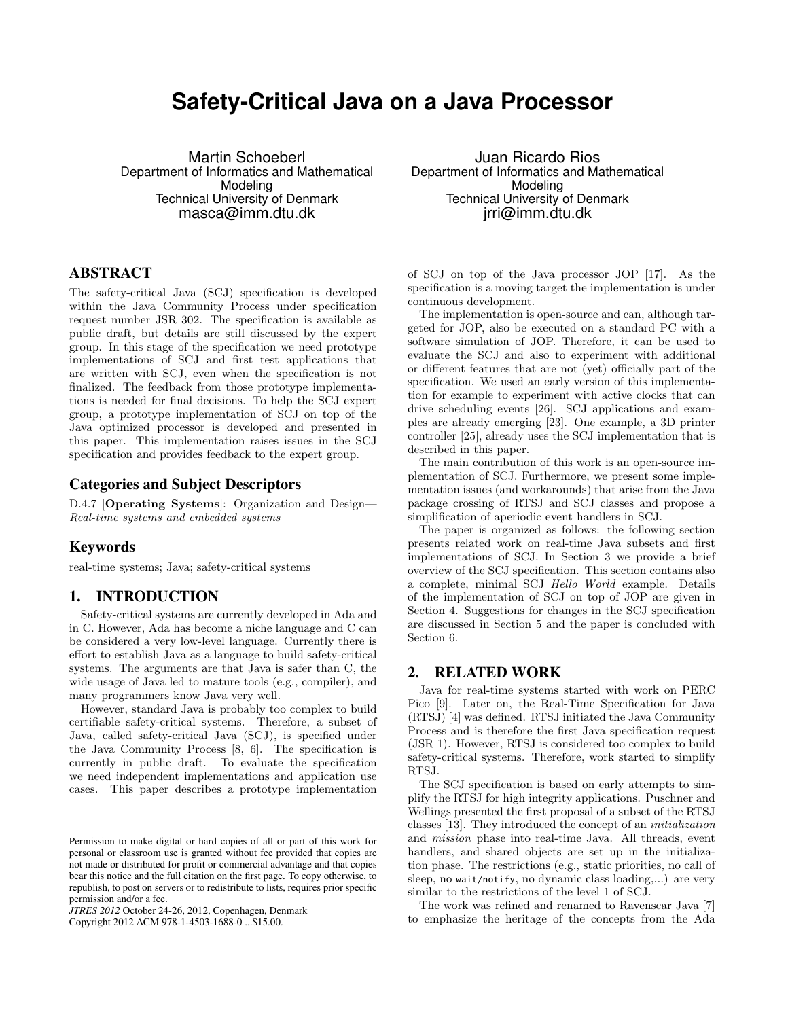# **Safety-Critical Java on a Java Processor**

Martin Schoeberl Department of Informatics and Mathematical Modeling Technical University of Denmark masca@imm.dtu.dk

# ABSTRACT

The safety-critical Java (SCJ) specification is developed within the Java Community Process under specification request number JSR 302. The specification is available as public draft, but details are still discussed by the expert group. In this stage of the specification we need prototype implementations of SCJ and first test applications that are written with SCJ, even when the specification is not finalized. The feedback from those prototype implementations is needed for final decisions. To help the SCJ expert group, a prototype implementation of SCJ on top of the Java optimized processor is developed and presented in this paper. This implementation raises issues in the SCJ specification and provides feedback to the expert group.

## Categories and Subject Descriptors

D.4.7 [Operating Systems]: Organization and Design— Real-time systems and embedded systems

## Keywords

real-time systems; Java; safety-critical systems

### 1. INTRODUCTION

Safety-critical systems are currently developed in Ada and in C. However, Ada has become a niche language and C can be considered a very low-level language. Currently there is effort to establish Java as a language to build safety-critical systems. The arguments are that Java is safer than C, the wide usage of Java led to mature tools (e.g., compiler), and many programmers know Java very well.

However, standard Java is probably too complex to build certifiable safety-critical systems. Therefore, a subset of Java, called safety-critical Java (SCJ), is specified under the Java Community Process [8, 6]. The specification is currently in public draft. To evaluate the specification we need independent implementations and application use cases. This paper describes a prototype implementation

*JTRES 2012* October 24-26, 2012, Copenhagen, Denmark

Copyright 2012 ACM 978-1-4503-1688-0 ...\$15.00.

Juan Ricardo Rios Department of Informatics and Mathematical Modeling Technical University of Denmark jrri@imm.dtu.dk

of SCJ on top of the Java processor JOP [17]. As the specification is a moving target the implementation is under continuous development.

The implementation is open-source and can, although targeted for JOP, also be executed on a standard PC with a software simulation of JOP. Therefore, it can be used to evaluate the SCJ and also to experiment with additional or different features that are not (yet) officially part of the specification. We used an early version of this implementation for example to experiment with active clocks that can drive scheduling events [26]. SCJ applications and examples are already emerging [23]. One example, a 3D printer controller [25], already uses the SCJ implementation that is described in this paper.

The main contribution of this work is an open-source implementation of SCJ. Furthermore, we present some implementation issues (and workarounds) that arise from the Java package crossing of RTSJ and SCJ classes and propose a simplification of aperiodic event handlers in SCJ.

The paper is organized as follows: the following section presents related work on real-time Java subsets and first implementations of SCJ. In Section 3 we provide a brief overview of the SCJ specification. This section contains also a complete, minimal SCJ Hello World example. Details of the implementation of SCJ on top of JOP are given in Section 4. Suggestions for changes in the SCJ specification are discussed in Section 5 and the paper is concluded with Section 6.

#### 2. RELATED WORK

Java for real-time systems started with work on PERC Pico [9]. Later on, the Real-Time Specification for Java (RTSJ) [4] was defined. RTSJ initiated the Java Community Process and is therefore the first Java specification request (JSR 1). However, RTSJ is considered too complex to build safety-critical systems. Therefore, work started to simplify RTSJ.

The SCJ specification is based on early attempts to simplify the RTSJ for high integrity applications. Puschner and Wellings presented the first proposal of a subset of the RTSJ classes [13]. They introduced the concept of an initialization and mission phase into real-time Java. All threads, event handlers, and shared objects are set up in the initialization phase. The restrictions (e.g., static priorities, no call of sleep, no wait/notify, no dynamic class loading,...) are very similar to the restrictions of the level 1 of SCJ.

The work was refined and renamed to Ravenscar Java [7] to emphasize the heritage of the concepts from the Ada

Permission to make digital or hard copies of all or part of this work for personal or classroom use is granted without fee provided that copies are not made or distributed for profit or commercial advantage and that copies bear this notice and the full citation on the first page. To copy otherwise, to republish, to post on servers or to redistribute to lists, requires prior specific permission and/or a fee.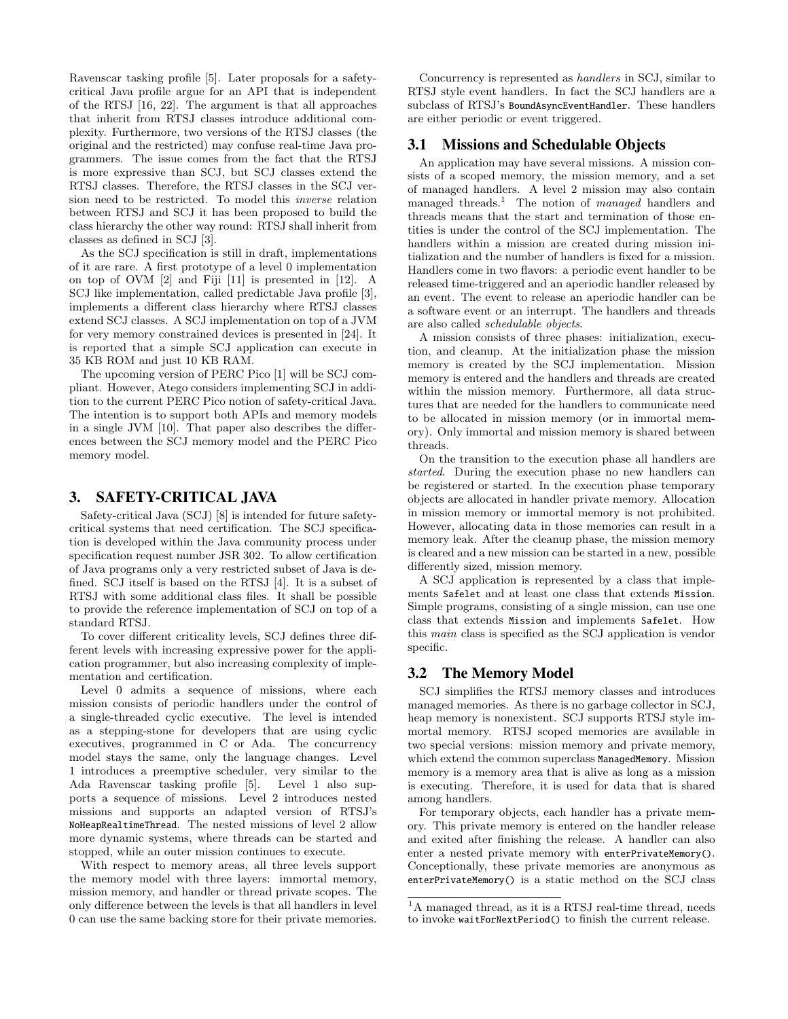Ravenscar tasking profile [5]. Later proposals for a safetycritical Java profile argue for an API that is independent of the RTSJ [16, 22]. The argument is that all approaches that inherit from RTSJ classes introduce additional complexity. Furthermore, two versions of the RTSJ classes (the original and the restricted) may confuse real-time Java programmers. The issue comes from the fact that the RTSJ is more expressive than SCJ, but SCJ classes extend the RTSJ classes. Therefore, the RTSJ classes in the SCJ version need to be restricted. To model this inverse relation between RTSJ and SCJ it has been proposed to build the class hierarchy the other way round: RTSJ shall inherit from classes as defined in SCJ [3].

As the SCJ specification is still in draft, implementations of it are rare. A first prototype of a level 0 implementation on top of OVM [2] and Fiji [11] is presented in [12]. A SCJ like implementation, called predictable Java profile [3], implements a different class hierarchy where RTSJ classes extend SCJ classes. A SCJ implementation on top of a JVM for very memory constrained devices is presented in [24]. It is reported that a simple SCJ application can execute in 35 KB ROM and just 10 KB RAM.

The upcoming version of PERC Pico [1] will be SCJ compliant. However, Atego considers implementing SCJ in addition to the current PERC Pico notion of safety-critical Java. The intention is to support both APIs and memory models in a single JVM [10]. That paper also describes the differences between the SCJ memory model and the PERC Pico memory model.

## 3. SAFETY-CRITICAL JAVA

Safety-critical Java (SCJ) [8] is intended for future safetycritical systems that need certification. The SCJ specification is developed within the Java community process under specification request number JSR 302. To allow certification of Java programs only a very restricted subset of Java is defined. SCJ itself is based on the RTSJ [4]. It is a subset of RTSJ with some additional class files. It shall be possible to provide the reference implementation of SCJ on top of a standard RTSJ.

To cover different criticality levels, SCJ defines three different levels with increasing expressive power for the application programmer, but also increasing complexity of implementation and certification.

Level 0 admits a sequence of missions, where each mission consists of periodic handlers under the control of a single-threaded cyclic executive. The level is intended as a stepping-stone for developers that are using cyclic executives, programmed in C or Ada. The concurrency model stays the same, only the language changes. Level 1 introduces a preemptive scheduler, very similar to the Ada Ravenscar tasking profile [5]. Level 1 also supports a sequence of missions. Level 2 introduces nested missions and supports an adapted version of RTSJ's NoHeapRealtimeThread. The nested missions of level 2 allow more dynamic systems, where threads can be started and stopped, while an outer mission continues to execute.

With respect to memory areas, all three levels support the memory model with three layers: immortal memory, mission memory, and handler or thread private scopes. The only difference between the levels is that all handlers in level 0 can use the same backing store for their private memories.

Concurrency is represented as handlers in SCJ, similar to RTSJ style event handlers. In fact the SCJ handlers are a subclass of RTSJ's BoundAsyncEventHandler. These handlers are either periodic or event triggered.

## 3.1 Missions and Schedulable Objects

An application may have several missions. A mission consists of a scoped memory, the mission memory, and a set of managed handlers. A level 2 mission may also contain managed threads.<sup>1</sup> The notion of managed handlers and threads means that the start and termination of those entities is under the control of the SCJ implementation. The handlers within a mission are created during mission initialization and the number of handlers is fixed for a mission. Handlers come in two flavors: a periodic event handler to be released time-triggered and an aperiodic handler released by an event. The event to release an aperiodic handler can be a software event or an interrupt. The handlers and threads are also called schedulable objects.

A mission consists of three phases: initialization, execution, and cleanup. At the initialization phase the mission memory is created by the SCJ implementation. Mission memory is entered and the handlers and threads are created within the mission memory. Furthermore, all data structures that are needed for the handlers to communicate need to be allocated in mission memory (or in immortal memory). Only immortal and mission memory is shared between threads.

On the transition to the execution phase all handlers are started. During the execution phase no new handlers can be registered or started. In the execution phase temporary objects are allocated in handler private memory. Allocation in mission memory or immortal memory is not prohibited. However, allocating data in those memories can result in a memory leak. After the cleanup phase, the mission memory is cleared and a new mission can be started in a new, possible differently sized, mission memory.

A SCJ application is represented by a class that implements Safelet and at least one class that extends Mission. Simple programs, consisting of a single mission, can use one class that extends Mission and implements Safelet. How this main class is specified as the SCJ application is vendor specific.

## 3.2 The Memory Model

SCJ simplifies the RTSJ memory classes and introduces managed memories. As there is no garbage collector in SCJ, heap memory is nonexistent. SCJ supports RTSJ style immortal memory. RTSJ scoped memories are available in two special versions: mission memory and private memory, which extend the common superclass ManagedMemory. Mission memory is a memory area that is alive as long as a mission is executing. Therefore, it is used for data that is shared among handlers.

For temporary objects, each handler has a private memory. This private memory is entered on the handler release and exited after finishing the release. A handler can also enter a nested private memory with enterPrivateMemory(). Conceptionally, these private memories are anonymous as enterPrivateMemory() is a static method on the SCJ class

<sup>&</sup>lt;sup>1</sup>A managed thread, as it is a RTSJ real-time thread, needs to invoke waitForNextPeriod() to finish the current release.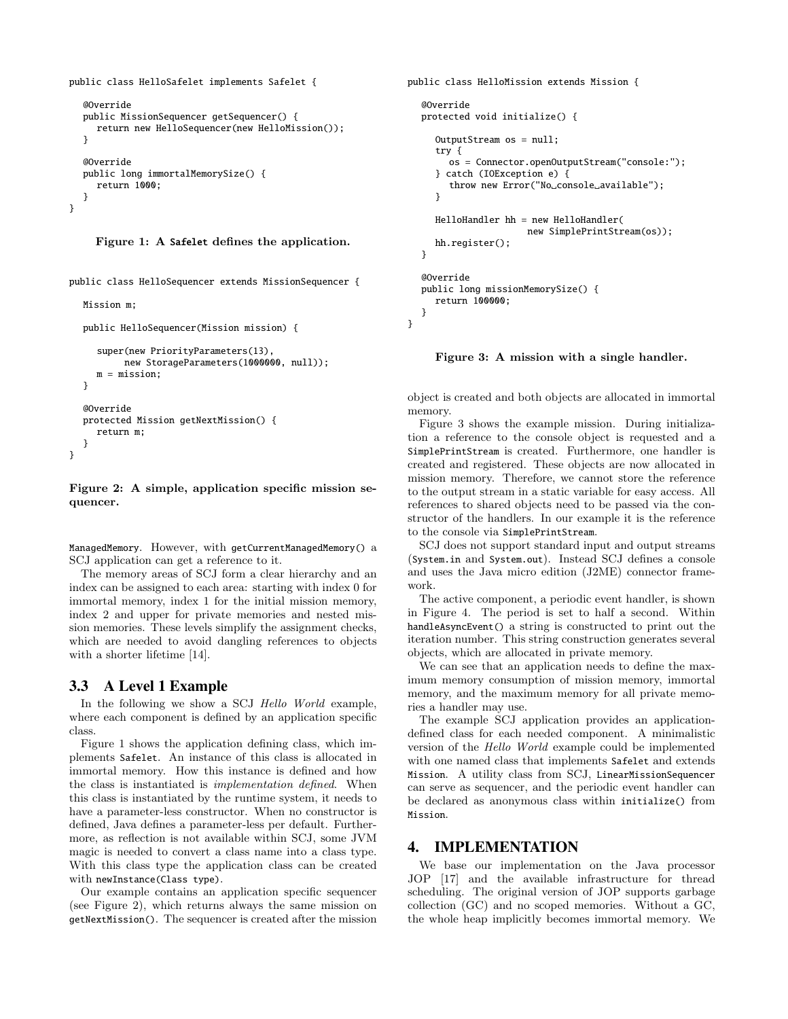public class HelloSafelet implements Safelet {

```
@Override
  public MissionSequencer getSequencer() {
     return new HelloSequencer(new HelloMission());
  }
  @Override
  public long immortalMemorySize() {
     return 1000;
  }
}
```


public class HelloSequencer extends MissionSequencer {

Mission m;

```
public HelloSequencer(Mission mission) {
```

```
super(new PriorityParameters(13),
        new StorageParameters(1000000, null));
  m = mission:
}
```

```
@Override
  protected Mission getNextMission() {
     return m;
  }
}
```
Figure 2: A simple, application specific mission sequencer.

ManagedMemory. However, with getCurrentManagedMemory() a SCJ application can get a reference to it.

The memory areas of SCJ form a clear hierarchy and an index can be assigned to each area: starting with index 0 for immortal memory, index 1 for the initial mission memory, index 2 and upper for private memories and nested mission memories. These levels simplify the assignment checks, which are needed to avoid dangling references to objects with a shorter lifetime [14].

#### 3.3 A Level 1 Example

In the following we show a SCJ *Hello World* example, where each component is defined by an application specific class.

Figure 1 shows the application defining class, which implements Safelet. An instance of this class is allocated in immortal memory. How this instance is defined and how the class is instantiated is implementation defined. When this class is instantiated by the runtime system, it needs to have a parameter-less constructor. When no constructor is defined, Java defines a parameter-less per default. Furthermore, as reflection is not available within SCJ, some JVM magic is needed to convert a class name into a class type. With this class type the application class can be created with newInstance(Class type).

Our example contains an application specific sequencer (see Figure 2), which returns always the same mission on getNextMission(). The sequencer is created after the mission

```
public class HelloMission extends Mission {
  @Override
  protected void initialize() {
     OutputStream os = null;
     try {
        os = Connector.openOutputStream("console:");
     } catch (IOException e) {
        throw new Error("No_console_available");
     }
     HelloHandler hh = new HelloHandler(
                       new SimplePrintStream(os));
     hh.register();
  }
  @Override
  public long missionMemorySize() {
     return 100000;
  }
}
```
#### Figure 3: A mission with a single handler.

object is created and both objects are allocated in immortal memory.

Figure 3 shows the example mission. During initialization a reference to the console object is requested and a SimplePrintStream is created. Furthermore, one handler is created and registered. These objects are now allocated in mission memory. Therefore, we cannot store the reference to the output stream in a static variable for easy access. All references to shared objects need to be passed via the constructor of the handlers. In our example it is the reference to the console via SimplePrintStream.

SCJ does not support standard input and output streams (System.in and System.out). Instead SCJ defines a console and uses the Java micro edition (J2ME) connector framework.

The active component, a periodic event handler, is shown in Figure 4. The period is set to half a second. Within handleAsyncEvent() a string is constructed to print out the iteration number. This string construction generates several objects, which are allocated in private memory.

We can see that an application needs to define the maximum memory consumption of mission memory, immortal memory, and the maximum memory for all private memories a handler may use.

The example SCJ application provides an applicationdefined class for each needed component. A minimalistic version of the Hello World example could be implemented with one named class that implements Safelet and extends Mission. A utility class from SCJ, LinearMissionSequencer can serve as sequencer, and the periodic event handler can be declared as anonymous class within initialize() from Mission.

#### 4. IMPLEMENTATION

We base our implementation on the Java processor JOP [17] and the available infrastructure for thread scheduling. The original version of JOP supports garbage collection (GC) and no scoped memories. Without a GC, the whole heap implicitly becomes immortal memory. We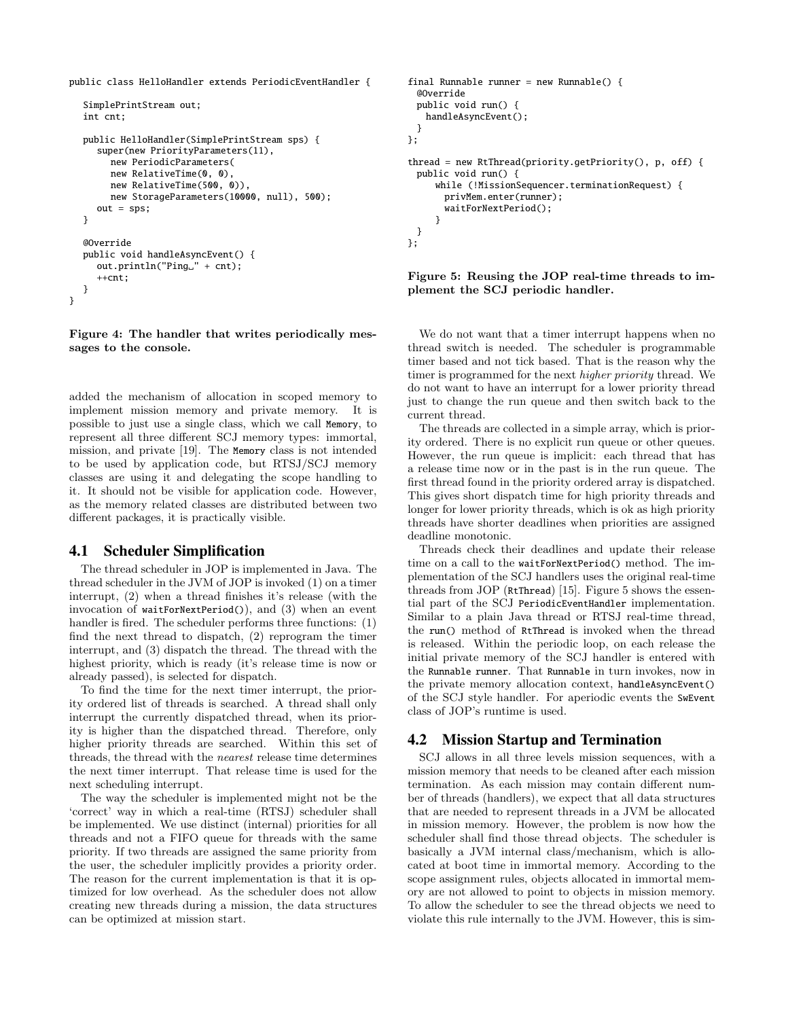public class HelloHandler extends PeriodicEventHandler {

```
SimplePrintStream out;
  int cnt;
  public HelloHandler(SimplePrintStream sps) {
     super(new PriorityParameters(11),
       new PeriodicParameters(
       new RelativeTime(0, 0),
       new RelativeTime(500, 0)),
       new StorageParameters(10000, null), 500);
     out = sps;
  }
  @Override
  public void handleAsyncEvent() {
     out.println("Ping." + cnt);
     ++cnt;
  }
}
```
Figure 4: The handler that writes periodically messages to the console.

added the mechanism of allocation in scoped memory to implement mission memory and private memory. It is possible to just use a single class, which we call Memory, to represent all three different SCJ memory types: immortal, mission, and private [19]. The Memory class is not intended to be used by application code, but RTSJ/SCJ memory classes are using it and delegating the scope handling to it. It should not be visible for application code. However, as the memory related classes are distributed between two different packages, it is practically visible.

## 4.1 Scheduler Simplification

The thread scheduler in JOP is implemented in Java. The thread scheduler in the JVM of JOP is invoked (1) on a timer interrupt, (2) when a thread finishes it's release (with the invocation of waitForNextPeriod()), and  $(3)$  when an event handler is fired. The scheduler performs three functions:  $(1)$ find the next thread to dispatch, (2) reprogram the timer interrupt, and (3) dispatch the thread. The thread with the highest priority, which is ready (it's release time is now or already passed), is selected for dispatch.

To find the time for the next timer interrupt, the priority ordered list of threads is searched. A thread shall only interrupt the currently dispatched thread, when its priority is higher than the dispatched thread. Therefore, only higher priority threads are searched. Within this set of threads, the thread with the nearest release time determines the next timer interrupt. That release time is used for the next scheduling interrupt.

The way the scheduler is implemented might not be the 'correct' way in which a real-time (RTSJ) scheduler shall be implemented. We use distinct (internal) priorities for all threads and not a FIFO queue for threads with the same priority. If two threads are assigned the same priority from the user, the scheduler implicitly provides a priority order. The reason for the current implementation is that it is optimized for low overhead. As the scheduler does not allow creating new threads during a mission, the data structures can be optimized at mission start.

```
final Runnable runner = new Runnable() {
  @Override
 public void run() {
   handleAsyncEvent();
 }
};
thread = new RtThread(priority.getPriority(), p, off) {
 public void run() {
     while (!MissionSequencer.terminationRequest) {
       privMem.enter(runner);
       waitForNextPeriod();
     }
 }
};
```
Figure 5: Reusing the JOP real-time threads to implement the SCJ periodic handler.

We do not want that a timer interrupt happens when no thread switch is needed. The scheduler is programmable timer based and not tick based. That is the reason why the timer is programmed for the next higher priority thread. We do not want to have an interrupt for a lower priority thread just to change the run queue and then switch back to the current thread.

The threads are collected in a simple array, which is priority ordered. There is no explicit run queue or other queues. However, the run queue is implicit: each thread that has a release time now or in the past is in the run queue. The first thread found in the priority ordered array is dispatched. This gives short dispatch time for high priority threads and longer for lower priority threads, which is ok as high priority threads have shorter deadlines when priorities are assigned deadline monotonic.

Threads check their deadlines and update their release time on a call to the waitForNextPeriod() method. The implementation of the SCJ handlers uses the original real-time threads from JOP (RtThread) [15]. Figure 5 shows the essential part of the SCJ PeriodicEventHandler implementation. Similar to a plain Java thread or RTSJ real-time thread, the run() method of RtThread is invoked when the thread is released. Within the periodic loop, on each release the initial private memory of the SCJ handler is entered with the Runnable runner. That Runnable in turn invokes, now in the private memory allocation context, handleAsyncEvent() of the SCJ style handler. For aperiodic events the SwEvent class of JOP's runtime is used.

## 4.2 Mission Startup and Termination

SCJ allows in all three levels mission sequences, with a mission memory that needs to be cleaned after each mission termination. As each mission may contain different number of threads (handlers), we expect that all data structures that are needed to represent threads in a JVM be allocated in mission memory. However, the problem is now how the scheduler shall find those thread objects. The scheduler is basically a JVM internal class/mechanism, which is allocated at boot time in immortal memory. According to the scope assignment rules, objects allocated in immortal memory are not allowed to point to objects in mission memory. To allow the scheduler to see the thread objects we need to violate this rule internally to the JVM. However, this is sim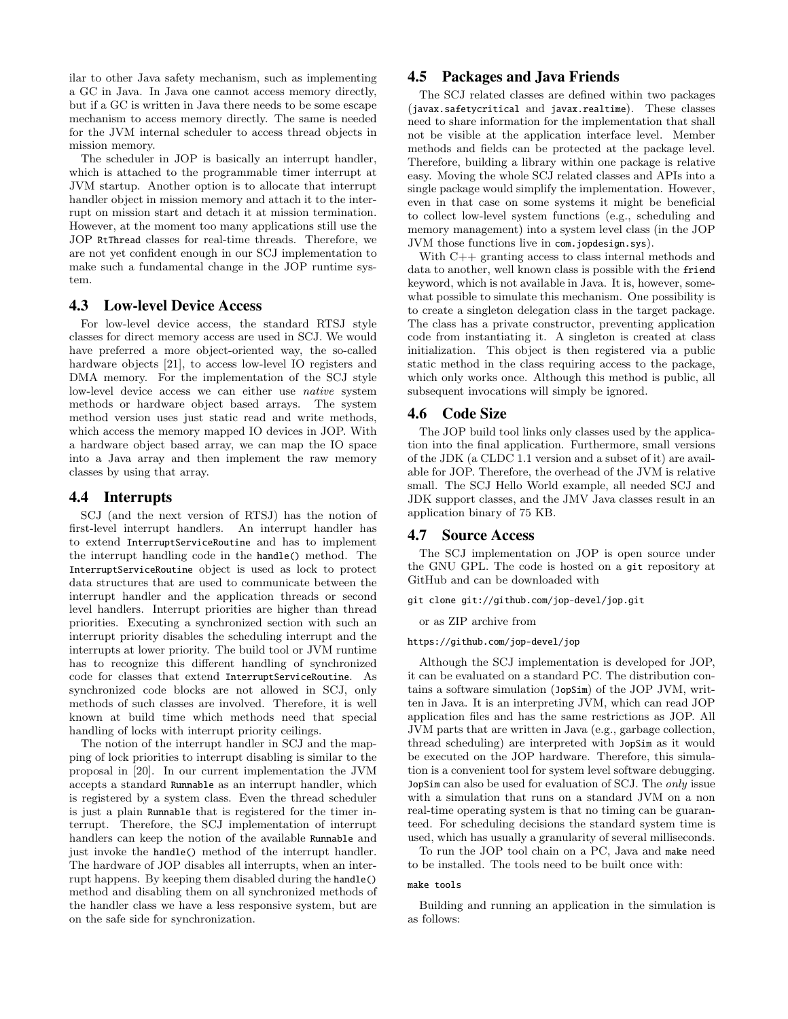ilar to other Java safety mechanism, such as implementing a GC in Java. In Java one cannot access memory directly, but if a GC is written in Java there needs to be some escape mechanism to access memory directly. The same is needed for the JVM internal scheduler to access thread objects in mission memory.

The scheduler in JOP is basically an interrupt handler, which is attached to the programmable timer interrupt at JVM startup. Another option is to allocate that interrupt handler object in mission memory and attach it to the interrupt on mission start and detach it at mission termination. However, at the moment too many applications still use the JOP RtThread classes for real-time threads. Therefore, we are not yet confident enough in our SCJ implementation to make such a fundamental change in the JOP runtime system.

#### 4.3 Low-level Device Access

For low-level device access, the standard RTSJ style classes for direct memory access are used in SCJ. We would have preferred a more object-oriented way, the so-called hardware objects [21], to access low-level IO registers and DMA memory. For the implementation of the SCJ style low-level device access we can either use native system methods or hardware object based arrays. The system method version uses just static read and write methods, which access the memory mapped IO devices in JOP. With a hardware object based array, we can map the IO space into a Java array and then implement the raw memory classes by using that array.

#### 4.4 Interrupts

SCJ (and the next version of RTSJ) has the notion of first-level interrupt handlers. An interrupt handler has to extend InterruptServiceRoutine and has to implement the interrupt handling code in the handle() method. The InterruptServiceRoutine object is used as lock to protect data structures that are used to communicate between the interrupt handler and the application threads or second level handlers. Interrupt priorities are higher than thread priorities. Executing a synchronized section with such an interrupt priority disables the scheduling interrupt and the interrupts at lower priority. The build tool or JVM runtime has to recognize this different handling of synchronized code for classes that extend InterruptServiceRoutine. As synchronized code blocks are not allowed in SCJ, only methods of such classes are involved. Therefore, it is well known at build time which methods need that special handling of locks with interrupt priority ceilings.

The notion of the interrupt handler in SCJ and the mapping of lock priorities to interrupt disabling is similar to the proposal in [20]. In our current implementation the JVM accepts a standard Runnable as an interrupt handler, which is registered by a system class. Even the thread scheduler is just a plain Runnable that is registered for the timer interrupt. Therefore, the SCJ implementation of interrupt handlers can keep the notion of the available Runnable and just invoke the handle() method of the interrupt handler. The hardware of JOP disables all interrupts, when an interrupt happens. By keeping them disabled during the handle() method and disabling them on all synchronized methods of the handler class we have a less responsive system, but are on the safe side for synchronization.

## 4.5 Packages and Java Friends

The SCJ related classes are defined within two packages (javax.safetycritical and javax.realtime). These classes need to share information for the implementation that shall not be visible at the application interface level. Member methods and fields can be protected at the package level. Therefore, building a library within one package is relative easy. Moving the whole SCJ related classes and APIs into a single package would simplify the implementation. However, even in that case on some systems it might be beneficial to collect low-level system functions (e.g., scheduling and memory management) into a system level class (in the JOP JVM those functions live in com.jopdesign.sys).

With C++ granting access to class internal methods and data to another, well known class is possible with the friend keyword, which is not available in Java. It is, however, somewhat possible to simulate this mechanism. One possibility is to create a singleton delegation class in the target package. The class has a private constructor, preventing application code from instantiating it. A singleton is created at class initialization. This object is then registered via a public static method in the class requiring access to the package, which only works once. Although this method is public, all subsequent invocations will simply be ignored.

#### 4.6 Code Size

The JOP build tool links only classes used by the application into the final application. Furthermore, small versions of the JDK (a CLDC 1.1 version and a subset of it) are available for JOP. Therefore, the overhead of the JVM is relative small. The SCJ Hello World example, all needed SCJ and JDK support classes, and the JMV Java classes result in an application binary of 75 KB.

## 4.7 Source Access

The SCJ implementation on JOP is open source under the GNU GPL. The code is hosted on a git repository at GitHub and can be downloaded with

git clone git://github.com/jop-devel/jop.git

or as ZIP archive from

```
https://github.com/jop-devel/jop
```
Although the SCJ implementation is developed for JOP, it can be evaluated on a standard PC. The distribution contains a software simulation (JopSim) of the JOP JVM, written in Java. It is an interpreting JVM, which can read JOP application files and has the same restrictions as JOP. All JVM parts that are written in Java (e.g., garbage collection, thread scheduling) are interpreted with JopSim as it would be executed on the JOP hardware. Therefore, this simulation is a convenient tool for system level software debugging. JopSim can also be used for evaluation of SCJ. The only issue with a simulation that runs on a standard JVM on a non real-time operating system is that no timing can be guaranteed. For scheduling decisions the standard system time is used, which has usually a granularity of several milliseconds.

To run the JOP tool chain on a PC, Java and make need to be installed. The tools need to be built once with:

#### make tools

Building and running an application in the simulation is as follows: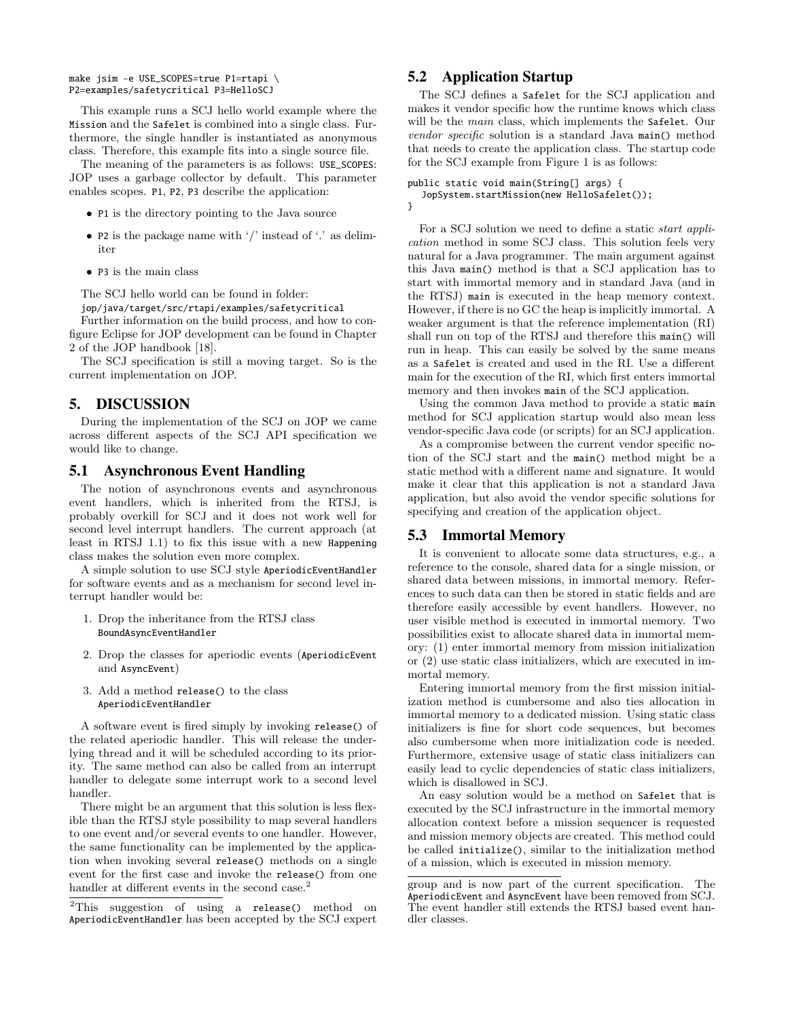#### make jsim -e USE\_SCOPES=true P1=rtapi \ P2=examples/safetycritical P3=HelloSCJ

This example runs a SCJ hello world example where the Mission and the Safelet is combined into a single class. Furthermore, the single handler is instantiated as anonymous class. Therefore, this example fits into a single source file.

The meaning of the parameters is as follows: USE\_SCOPES: JOP uses a garbage collector by default. This parameter enables scopes. P1, P2, P3 describe the application:

- P1 is the directory pointing to the Java source
- P2 is the package name with '/' instead of '.' as delimiter
- P3 is the main class

The SCJ hello world can be found in folder: jop/java/target/src/rtapi/examples/safetycritical

Further information on the build process, and how to configure Eclipse for JOP development can be found in Chapter 2 of the JOP handbook [18].

The SCJ specification is still a moving target. So is the current implementation on JOP.

## 5. DISCUSSION

During the implementation of the SCJ on JOP we came across different aspects of the SCJ API specification we would like to change.

#### 5.1 Asynchronous Event Handling

The notion of asynchronous events and asynchronous event handlers, which is inherited from the RTSJ, is probably overkill for SCJ and it does not work well for second level interrupt handlers. The current approach (at least in RTSJ 1.1) to fix this issue with a new Happening class makes the solution even more complex.

A simple solution to use SCJ style AperiodicEventHandler for software events and as a mechanism for second level interrupt handler would be:

- 1. Drop the inheritance from the RTSJ class BoundAsyncEventHandler
- 2. Drop the classes for aperiodic events (AperiodicEvent and AsyncEvent)
- 3. Add a method release() to the class AperiodicEventHandler

A software event is fired simply by invoking release() of the related aperiodic handler. This will release the underlying thread and it will be scheduled according to its priority. The same method can also be called from an interrupt handler to delegate some interrupt work to a second level handler.

There might be an argument that this solution is less flexible than the RTSJ style possibility to map several handlers to one event and/or several events to one handler. However, the same functionality can be implemented by the application when invoking several release() methods on a single event for the first case and invoke the release() from one handler at different events in the second case.<sup>2</sup>

## 5.2 Application Startup

The SCJ defines a Safelet for the SCJ application and makes it vendor specific how the runtime knows which class will be the *main* class, which implements the Safelet. Our vendor specific solution is a standard Java main() method that needs to create the application class. The startup code for the SCJ example from Figure 1 is as follows:

```
public static void main(String[] args) {
  JopSystem.startMission(new HelloSafelet());
}
```
For a SCJ solution we need to define a static *start appli*cation method in some SCJ class. This solution feels very natural for a Java programmer. The main argument against this Java main() method is that a SCJ application has to start with immortal memory and in standard Java (and in the RTSJ) main is executed in the heap memory context. However, if there is no GC the heap is implicitly immortal. A weaker argument is that the reference implementation (RI) shall run on top of the RTSJ and therefore this main() will run in heap. This can easily be solved by the same means as a Safelet is created and used in the RI. Use a different main for the execution of the RI, which first enters immortal memory and then invokes main of the SCJ application.

Using the common Java method to provide a static main method for SCJ application startup would also mean less vendor-specific Java code (or scripts) for an SCJ application.

As a compromise between the current vendor specific notion of the SCJ start and the main() method might be a static method with a different name and signature. It would make it clear that this application is not a standard Java application, but also avoid the vendor specific solutions for specifying and creation of the application object.

## 5.3 Immortal Memory

It is convenient to allocate some data structures, e.g., a reference to the console, shared data for a single mission, or shared data between missions, in immortal memory. References to such data can then be stored in static fields and are therefore easily accessible by event handlers. However, no user visible method is executed in immortal memory. Two possibilities exist to allocate shared data in immortal memory: (1) enter immortal memory from mission initialization or (2) use static class initializers, which are executed in immortal memory.

Entering immortal memory from the first mission initialization method is cumbersome and also ties allocation in immortal memory to a dedicated mission. Using static class initializers is fine for short code sequences, but becomes also cumbersome when more initialization code is needed. Furthermore, extensive usage of static class initializers can easily lead to cyclic dependencies of static class initializers, which is disallowed in SCJ.

An easy solution would be a method on Safelet that is executed by the SCJ infrastructure in the immortal memory allocation context before a mission sequencer is requested and mission memory objects are created. This method could be called initialize(), similar to the initialization method of a mission, which is executed in mission memory.

<sup>2</sup>This suggestion of using a release() method on AperiodicEventHandler has been accepted by the SCJ expert

group and is now part of the current specification. The AperiodicEvent and AsyncEvent have been removed from SCJ. The event handler still extends the RTSJ based event handler classes.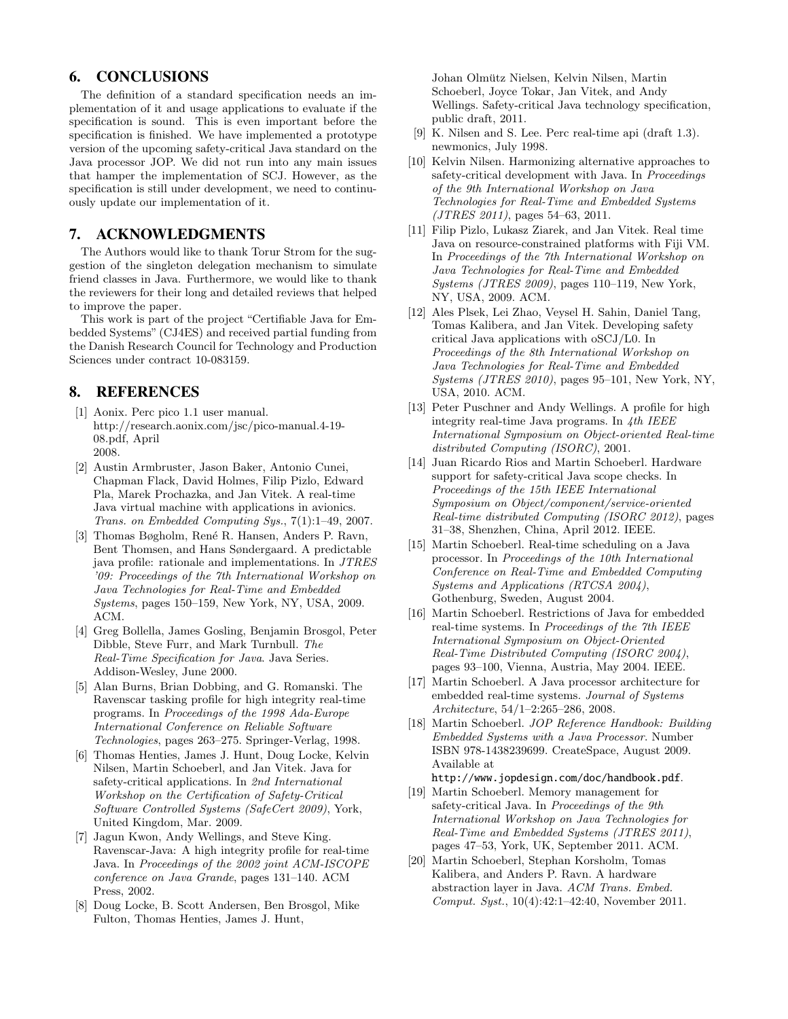# 6. CONCLUSIONS

The definition of a standard specification needs an implementation of it and usage applications to evaluate if the specification is sound. This is even important before the specification is finished. We have implemented a prototype version of the upcoming safety-critical Java standard on the Java processor JOP. We did not run into any main issues that hamper the implementation of SCJ. However, as the specification is still under development, we need to continuously update our implementation of it.

## 7. ACKNOWLEDGMENTS

The Authors would like to thank Torur Strom for the suggestion of the singleton delegation mechanism to simulate friend classes in Java. Furthermore, we would like to thank the reviewers for their long and detailed reviews that helped to improve the paper.

This work is part of the project "Certifiable Java for Embedded Systems" (CJ4ES) and received partial funding from the Danish Research Council for Technology and Production Sciences under contract 10-083159.

## 8. REFERENCES

- [1] Aonix. Perc pico 1.1 user manual. http://research.aonix.com/jsc/pico-manual.4-19- 08.pdf, April 2008.
- [2] Austin Armbruster, Jason Baker, Antonio Cunei, Chapman Flack, David Holmes, Filip Pizlo, Edward Pla, Marek Prochazka, and Jan Vitek. A real-time Java virtual machine with applications in avionics. Trans. on Embedded Computing Sys., 7(1):1–49, 2007.
- [3] Thomas Bøgholm, René R. Hansen, Anders P. Ravn, Bent Thomsen, and Hans Søndergaard. A predictable java profile: rationale and implementations. In JTRES '09: Proceedings of the 7th International Workshop on Java Technologies for Real-Time and Embedded Systems, pages 150–159, New York, NY, USA, 2009. ACM.
- [4] Greg Bollella, James Gosling, Benjamin Brosgol, Peter Dibble, Steve Furr, and Mark Turnbull. The Real-Time Specification for Java. Java Series. Addison-Wesley, June 2000.
- [5] Alan Burns, Brian Dobbing, and G. Romanski. The Ravenscar tasking profile for high integrity real-time programs. In Proceedings of the 1998 Ada-Europe International Conference on Reliable Software Technologies, pages 263–275. Springer-Verlag, 1998.
- [6] Thomas Henties, James J. Hunt, Doug Locke, Kelvin Nilsen, Martin Schoeberl, and Jan Vitek. Java for safety-critical applications. In 2nd International Workshop on the Certification of Safety-Critical Software Controlled Systems (SafeCert 2009), York, United Kingdom, Mar. 2009.
- [7] Jagun Kwon, Andy Wellings, and Steve King. Ravenscar-Java: A high integrity profile for real-time Java. In Proceedings of the 2002 joint ACM-ISCOPE conference on Java Grande, pages 131–140. ACM Press, 2002.
- [8] Doug Locke, B. Scott Andersen, Ben Brosgol, Mike Fulton, Thomas Henties, James J. Hunt,

Johan Olmutz Nielsen, Kelvin Nilsen, Martin ¨ Schoeberl, Joyce Tokar, Jan Vitek, and Andy Wellings. Safety-critical Java technology specification, public draft, 2011.

- [9] K. Nilsen and S. Lee. Perc real-time api (draft 1.3). newmonics, July 1998.
- [10] Kelvin Nilsen. Harmonizing alternative approaches to safety-critical development with Java. In Proceedings of the 9th International Workshop on Java Technologies for Real-Time and Embedded Systems (JTRES 2011), pages 54–63, 2011.
- [11] Filip Pizlo, Lukasz Ziarek, and Jan Vitek. Real time Java on resource-constrained platforms with Fiji VM. In Proceedings of the 7th International Workshop on Java Technologies for Real-Time and Embedded Systems (JTRES 2009), pages 110–119, New York, NY, USA, 2009. ACM.
- [12] Ales Plsek, Lei Zhao, Veysel H. Sahin, Daniel Tang, Tomas Kalibera, and Jan Vitek. Developing safety critical Java applications with oSCJ/L0. In Proceedings of the 8th International Workshop on Java Technologies for Real-Time and Embedded Systems (JTRES 2010), pages 95–101, New York, NY, USA, 2010. ACM.
- [13] Peter Puschner and Andy Wellings. A profile for high integrity real-time Java programs. In  $4th$  IEEE International Symposium on Object-oriented Real-time distributed Computing (ISORC), 2001.
- [14] Juan Ricardo Rios and Martin Schoeberl. Hardware support for safety-critical Java scope checks. In Proceedings of the 15th IEEE International Symposium on Object/component/service-oriented Real-time distributed Computing (ISORC 2012), pages 31–38, Shenzhen, China, April 2012. IEEE.
- [15] Martin Schoeberl. Real-time scheduling on a Java processor. In Proceedings of the 10th International Conference on Real-Time and Embedded Computing Systems and Applications (RTCSA 2004), Gothenburg, Sweden, August 2004.
- [16] Martin Schoeberl. Restrictions of Java for embedded real-time systems. In Proceedings of the 7th IEEE International Symposium on Object-Oriented Real-Time Distributed Computing (ISORC 2004), pages 93–100, Vienna, Austria, May 2004. IEEE.
- [17] Martin Schoeberl. A Java processor architecture for embedded real-time systems. Journal of Systems Architecture, 54/1–2:265–286, 2008.
- [18] Martin Schoeberl. JOP Reference Handbook: Building Embedded Systems with a Java Processor. Number ISBN 978-1438239699. CreateSpace, August 2009. Available at
	- http://www.jopdesign.com/doc/handbook.pdf.
- [19] Martin Schoeberl. Memory management for safety-critical Java. In Proceedings of the 9th International Workshop on Java Technologies for Real-Time and Embedded Systems (JTRES 2011), pages 47–53, York, UK, September 2011. ACM.
- [20] Martin Schoeberl, Stephan Korsholm, Tomas Kalibera, and Anders P. Ravn. A hardware abstraction layer in Java. ACM Trans. Embed. Comput. Syst., 10(4):42:1–42:40, November 2011.